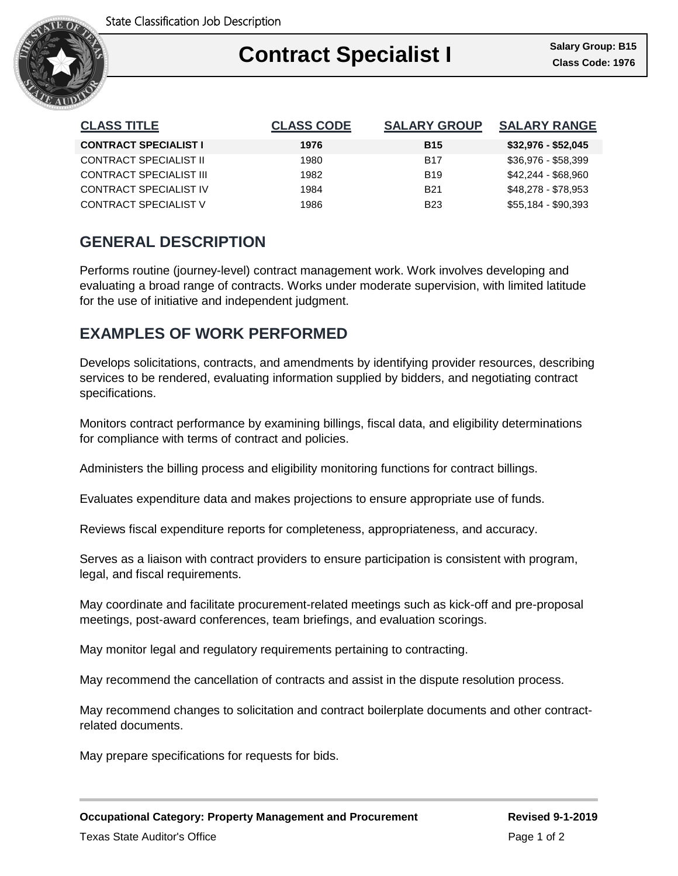

| <b>CLASS TITLE</b>            | <b>CLASS CODE</b> | <b>SALARY GROUP</b> | <b>SALARY RANGE</b> |
|-------------------------------|-------------------|---------------------|---------------------|
| <b>CONTRACT SPECIALIST I</b>  | 1976              | <b>B15</b>          | $$32,976 - $52,045$ |
| <b>CONTRACT SPECIALIST II</b> | 1980              | <b>B17</b>          | \$36,976 - \$58,399 |
| CONTRACT SPECIALIST III       | 1982              | <b>B19</b>          | \$42,244 - \$68,960 |
| CONTRACT SPECIALIST IV        | 1984              | <b>B21</b>          | \$48,278 - \$78,953 |
| CONTRACT SPECIALIST V         | 1986              | <b>B23</b>          | \$55,184 - \$90,393 |

## **GENERAL DESCRIPTION**

Performs routine (journey-level) contract management work. Work involves developing and evaluating a broad range of contracts. Works under moderate supervision, with limited latitude for the use of initiative and independent judgment.

### **EXAMPLES OF WORK PERFORMED**

Develops solicitations, contracts, and amendments by identifying provider resources, describing services to be rendered, evaluating information supplied by bidders, and negotiating contract specifications.

Monitors contract performance by examining billings, fiscal data, and eligibility determinations for compliance with terms of contract and policies.

Administers the billing process and eligibility monitoring functions for contract billings.

Evaluates expenditure data and makes projections to ensure appropriate use of funds.

Reviews fiscal expenditure reports for completeness, appropriateness, and accuracy.

Serves as a liaison with contract providers to ensure participation is consistent with program, legal, and fiscal requirements.

May coordinate and facilitate procurement-related meetings such as kick-off and pre-proposal meetings, post-award conferences, team briefings, and evaluation scorings.

May monitor legal and regulatory requirements pertaining to contracting.

May recommend the cancellation of contracts and assist in the dispute resolution process.

May recommend changes to solicitation and contract boilerplate documents and other contractrelated documents.

May prepare specifications for requests for bids.